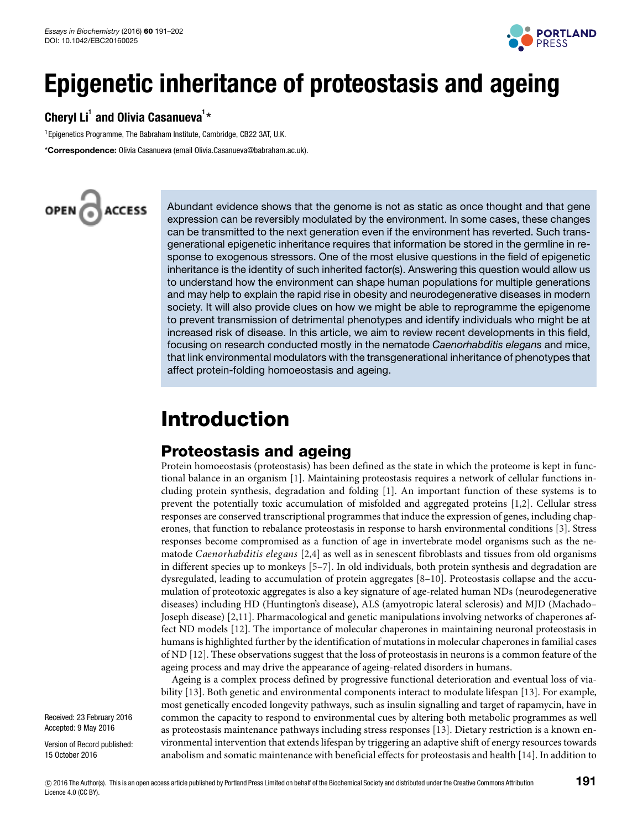

# **Epigenetic inheritance of proteostasis and ageing**

### Cheryl Li<sup>1</sup> and Olivia Casanueva<sup>1</sup>\*

<sup>1</sup> Epigenetics Programme, The Babraham Institute, Cambridge, CB22 3AT, U.K.

\***Correspondence:** Olivia Casanueva (email [Olivia.Casanueva@babraham.ac.uk\)](mailto:Olivia.Casanueva@babraham.ac.uk).



Abundant evidence shows that the genome is not as static as once thought and that gene expression can be reversibly modulated by the environment. In some cases, these changes can be transmitted to the next generation even if the environment has reverted. Such transgenerational epigenetic inheritance requires that information be stored in the germline in response to exogenous stressors. One of the most elusive questions in the field of epigenetic inheritance is the identity of such inherited factor(s). Answering this question would allow us to understand how the environment can shape human populations for multiple generations and may help to explain the rapid rise in obesity and neurodegenerative diseases in modern society. It will also provide clues on how we might be able to reprogramme the epigenome to prevent transmission of detrimental phenotypes and identify individuals who might be at increased risk of disease. In this article, we aim to review recent developments in this field, focusing on research conducted mostly in the nematode Caenorhabditis elegans and mice, that link environmental modulators with the transgenerational inheritance of phenotypes that affect protein-folding homoeostasis and ageing.

# **Introduction**

### **Proteostasis and ageing**

Protein homoeostasis (proteostasis) has been defined as the state in which the proteome is kept in functional balance in an organism [\[1\]](#page-9-0). Maintaining proteostasis requires a network of cellular functions including protein synthesis, degradation and folding [\[1\]](#page-9-0). An important function of these systems is to prevent the potentially toxic accumulation of misfolded and aggregated proteins [\[1,](#page-9-0)[2\]](#page-9-1). Cellular stress responses are conserved transcriptional programmes that induce the expression of genes, including chaperones, that function to rebalance proteostasis in response to harsh environmental conditions [\[3\]](#page-9-2). Stress responses become compromised as a function of age in invertebrate model organisms such as the nematode *Caenorhabditis elegans* [\[2](#page-9-1)[,4\]](#page-9-3) as well as in senescent fibroblasts and tissues from old organisms in different species up to monkeys [\[5](#page-9-4)[–7\]](#page-9-5). In old individuals, both protein synthesis and degradation are dysregulated, leading to accumulation of protein aggregates [\[8–](#page-9-6)[10\]](#page-9-7). Proteostasis collapse and the accumulation of proteotoxic aggregates is also a key signature of age-related human NDs (neurodegenerative diseases) including HD (Huntington's disease), ALS (amyotropic lateral sclerosis) and MJD (Machado– Joseph disease) [\[2](#page-9-1)[,11\]](#page-9-8). Pharmacological and genetic manipulations involving networks of chaperones affect ND models [\[12\]](#page-9-9). The importance of molecular chaperones in maintaining neuronal proteostasis in humans is highlighted further by the identification of mutations in molecular chaperones in familial cases of ND [\[12\]](#page-9-9). These observations suggest that the loss of proteostasis in neurons is a common feature of the ageing process and may drive the appearance of ageing-related disorders in humans.

Ageing is a complex process defined by progressive functional deterioration and eventual loss of viability [\[13\]](#page-9-10). Both genetic and environmental components interact to modulate lifespan [\[13\]](#page-9-10). For example, most genetically encoded longevity pathways, such as insulin signalling and target of rapamycin, have in common the capacity to respond to environmental cues by altering both metabolic programmes as well as proteostasis maintenance pathways including stress responses [\[13\]](#page-9-10). Dietary restriction is a known environmental intervention that extends lifespan by triggering an adaptive shift of energy resources towards anabolism and somatic maintenance with beneficial effects for proteostasis and health [\[14\]](#page-10-0). In addition to

Received: 23 February 2016 Accepted: 9 May 2016

Version of Record published: 15 October 2016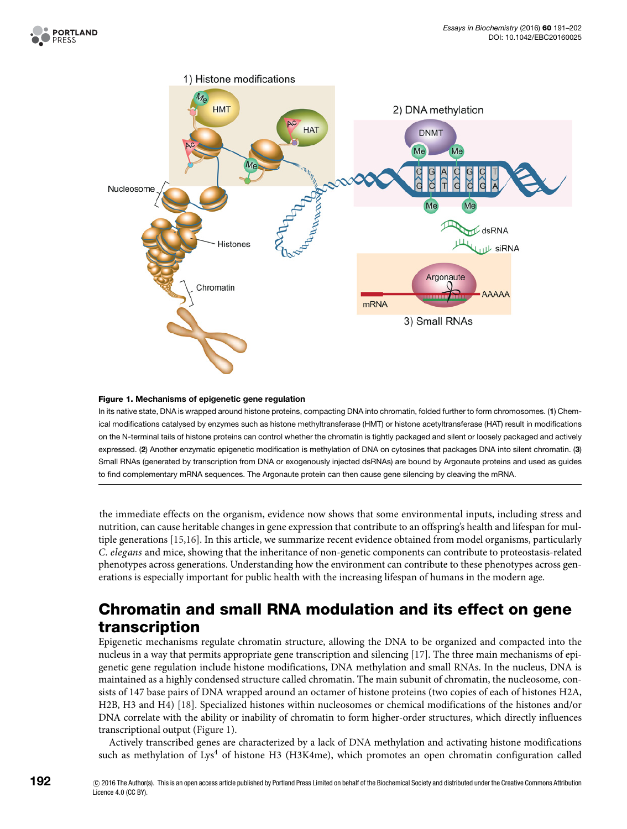<span id="page-1-0"></span>

#### **Figure 1. Mechanisms of epigenetic gene regulation**

In its native state, DNA is wrapped around histone proteins, compacting DNA into chromatin, folded further to form chromosomes. (**1**) Chemical modifications catalysed by enzymes such as histone methyltransferase (HMT) or histone acetyltransferase (HAT) result in modifications on the N-terminal tails of histone proteins can control whether the chromatin is tightly packaged and silent or loosely packaged and actively expressed. (**2**) Another enzymatic epigenetic modification is methylation of DNA on cytosines that packages DNA into silent chromatin. (**3**) Small RNAs (generated by transcription from DNA or exogenously injected dsRNAs) are bound by Argonaute proteins and used as guides to find complementary mRNA sequences. The Argonaute protein can then cause gene silencing by cleaving the mRNA.

the immediate effects on the organism, evidence now shows that some environmental inputs, including stress and nutrition, can cause heritable changes in gene expression that contribute to an offspring's health and lifespan for multiple generations [\[15](#page-10-1)[,16\]](#page-10-2). In this article, we summarize recent evidence obtained from model organisms, particularly *C. elegans* and mice, showing that the inheritance of non-genetic components can contribute to proteostasis-related phenotypes across generations. Understanding how the environment can contribute to these phenotypes across generations is especially important for public health with the increasing lifespan of humans in the modern age.

### **Chromatin and small RNA modulation and its effect on gene transcription**

Epigenetic mechanisms regulate chromatin structure, allowing the DNA to be organized and compacted into the nucleus in a way that permits appropriate gene transcription and silencing [\[17\]](#page-10-3). The three main mechanisms of epigenetic gene regulation include histone modifications, DNA methylation and small RNAs. In the nucleus, DNA is maintained as a highly condensed structure called chromatin. The main subunit of chromatin, the nucleosome, consists of 147 base pairs of DNA wrapped around an octamer of histone proteins (two copies of each of histones H2A, H2B, H3 and H4) [\[18\]](#page-10-4). Specialized histones within nucleosomes or chemical modifications of the histones and/or DNA correlate with the ability or inability of chromatin to form higher-order structures, which directly influences transcriptional output [\(Figure 1\)](#page-1-0).

Actively transcribed genes are characterized by a lack of DNA methylation and activating histone modifications such as methylation of Lys<sup>4</sup> of histone H3 (H3K4me), which promotes an open chromatin configuration called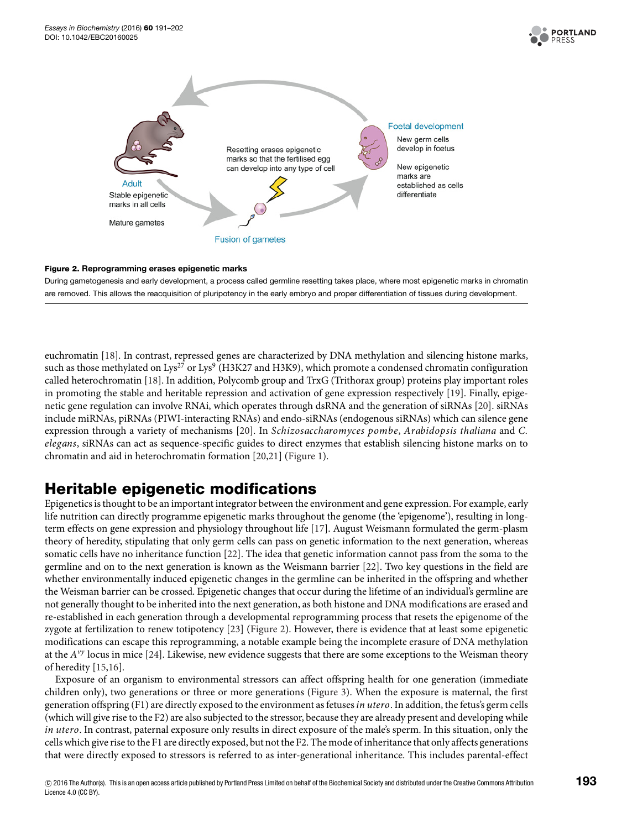

<span id="page-2-0"></span>

#### **Figure 2. Reprogramming erases epigenetic marks**

During gametogenesis and early development, a process called germline resetting takes place, where most epigenetic marks in chromatin are removed. This allows the reacquisition of pluripotency in the early embryo and proper differentiation of tissues during development.

euchromatin [\[18\]](#page-10-4). In contrast, repressed genes are characterized by DNA methylation and silencing histone marks, such as those methylated on Lys<sup>27</sup> or Lys<sup>9</sup> (H3K27 and H3K9), which promote a condensed chromatin configuration called heterochromatin [\[18\]](#page-10-4). In addition, Polycomb group and TrxG (Trithorax group) proteins play important roles in promoting the stable and heritable repression and activation of gene expression respectively [\[19\]](#page-10-5). Finally, epigenetic gene regulation can involve RNAi, which operates through dsRNA and the generation of siRNAs [\[20\]](#page-10-6). siRNAs include miRNAs, piRNAs (PIWI-interacting RNAs) and endo-siRNAs (endogenous siRNAs) which can silence gene expression through a variety of mechanisms [\[20\]](#page-10-6). In *Schizosaccharomyces pombe*, *Arabidopsis thaliana* and *C. elegans*, siRNAs can act as sequence-specific guides to direct enzymes that establish silencing histone marks on to chromatin and aid in heterochromatin formation [\[20](#page-10-6)[,21\]](#page-10-7) [\(Figure 1\)](#page-1-0).

### **Heritable epigenetic modifications**

Epigenetics is thought to be an important integrator between the environment and gene expression. For example, early life nutrition can directly programme epigenetic marks throughout the genome (the 'epigenome'), resulting in longterm effects on gene expression and physiology throughout life [\[17\]](#page-10-3). August Weismann formulated the germ-plasm theory of heredity, stipulating that only germ cells can pass on genetic information to the next generation, whereas somatic cells have no inheritance function [\[22\]](#page-10-8). The idea that genetic information cannot pass from the soma to the germline and on to the next generation is known as the Weismann barrier [\[22\]](#page-10-8). Two key questions in the field are whether environmentally induced epigenetic changes in the germline can be inherited in the offspring and whether the Weisman barrier can be crossed. Epigenetic changes that occur during the lifetime of an individual's germline are not generally thought to be inherited into the next generation, as both histone and DNA modifications are erased and re-established in each generation through a developmental reprogramming process that resets the epigenome of the zygote at fertilization to renew totipotency [\[23\]](#page-10-9) [\(Figure 2\)](#page-2-0). However, there is evidence that at least some epigenetic modifications can escape this reprogramming, a notable example being the incomplete erasure of DNA methylation at the *Avy* locus in mice [\[24\]](#page-10-10). Likewise, new evidence suggests that there are some exceptions to the Weisman theory of heredity [\[15,](#page-10-1)[16\]](#page-10-2).

Exposure of an organism to environmental stressors can affect offspring health for one generation (immediate children only), two generations or three or more generations [\(Figure 3\)](#page-3-0). When the exposure is maternal, the first generation offspring (F1) are directly exposed to the environment as fetuses*in utero*. In addition, the fetus's germ cells (which will give rise to the F2) are also subjected to the stressor, because they are already present and developing while *in utero*. In contrast, paternal exposure only results in direct exposure of the male's sperm. In this situation, only the cells which give rise to the F1 are directly exposed, but not the F2. The mode of inheritance that only affects generations that were directly exposed to stressors is referred to as inter-generational inheritance. This includes parental-effect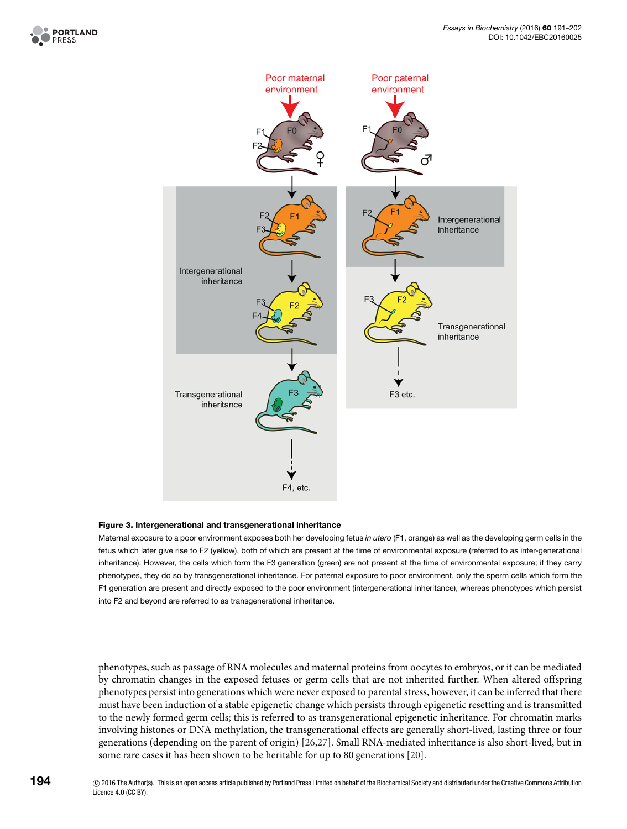

<span id="page-3-0"></span>

#### **Figure 3. Intergenerational and transgenerational inheritance**

Maternal exposure to a poor environment exposes both her developing fetus in utero (F1, orange) as well as the developing germ cells in the fetus which later give rise to F2 (yellow), both of which are present at the time of environmental exposure (referred to as inter-generational inheritance). However, the cells which form the F3 generation (green) are not present at the time of environmental exposure; if they carry phenotypes, they do so by transgenerational inheritance. For paternal exposure to poor environment, only the sperm cells which form the F1 generation are present and directly exposed to the poor environment (intergenerational inheritance), whereas phenotypes which persist into F2 and beyond are referred to as transgenerational inheritance.

phenotypes, such as passage of RNA molecules and maternal proteins from oocytes to embryos, or it can be mediated by chromatin changes in the exposed fetuses or germ cells that are not inherited further. When altered offspring phenotypes persist into generations which were never exposed to parental stress, however, it can be inferred that there must have been induction of a stable epigenetic change which persists through epigenetic resetting and is transmitted to the newly formed germ cells; this is referred to as transgenerational epigenetic inheritance. For chromatin marks involving histones or DNA methylation, the transgenerational effects are generally short-lived, lasting three or four generations (depending on the parent of origin) [\[26,](#page-10-11)[27\]](#page-10-12). Small RNA-mediated inheritance is also short-lived, but in some rare cases it has been shown to be heritable for up to 80 generations [\[20\]](#page-10-6).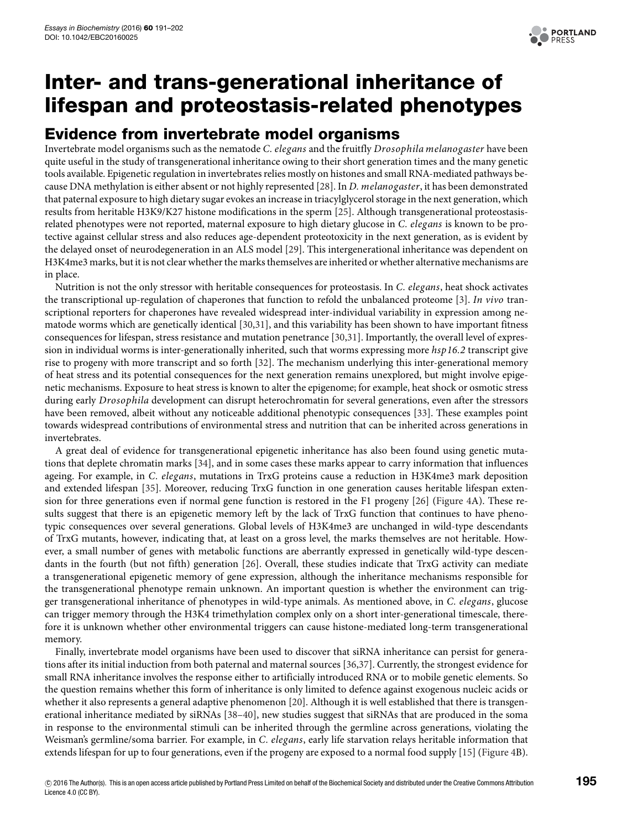

## **Inter- and trans-generational inheritance of lifespan and proteostasis-related phenotypes**

### **Evidence from invertebrate model organisms**

Invertebrate model organisms such as the nematode *C. elegans* and the fruitfly *Drosophila melanogaster* have been quite useful in the study of transgenerational inheritance owing to their short generation times and the many genetic tools available. Epigenetic regulation in invertebrates relies mostly on histones and small RNA-mediated pathways because DNA methylation is either absent or not highly represented [\[28\]](#page-10-13). In *D. melanogaster*, it has been demonstrated that paternal exposure to high dietary sugar evokes an increase in triacylglycerol storage in the next generation, which results from heritable H3K9/K27 histone modifications in the sperm [\[25\]](#page-10-14). Although transgenerational proteostasisrelated phenotypes were not reported, maternal exposure to high dietary glucose in *C. elegans* is known to be protective against cellular stress and also reduces age-dependent proteotoxicity in the next generation, as is evident by the delayed onset of neurodegeneration in an ALS model [\[29\]](#page-10-15). This intergenerational inheritance was dependent on H3K4me3 marks, but it is not clear whether the marks themselves are inherited or whether alternative mechanisms are in place.

Nutrition is not the only stressor with heritable consequences for proteostasis. In *C. elegans*, heat shock activates the transcriptional up-regulation of chaperones that function to refold the unbalanced proteome [\[3\]](#page-9-2). *In vivo* transcriptional reporters for chaperones have revealed widespread inter-individual variability in expression among nematode worms which are genetically identical [\[30](#page-10-16)[,31\]](#page-10-17), and this variability has been shown to have important fitness consequences for lifespan, stress resistance and mutation penetrance [\[30,](#page-10-16)[31\]](#page-10-17). Importantly, the overall level of expression in individual worms is inter-generationally inherited, such that worms expressing more *hsp16.2* transcript give rise to progeny with more transcript and so forth [\[32\]](#page-10-18). The mechanism underlying this inter-generational memory of heat stress and its potential consequences for the next generation remains unexplored, but might involve epigenetic mechanisms. Exposure to heat stress is known to alter the epigenome; for example, heat shock or osmotic stress during early *Drosophila* development can disrupt heterochromatin for several generations, even after the stressors have been removed, albeit without any noticeable additional phenotypic consequences [\[33\]](#page-10-19). These examples point towards widespread contributions of environmental stress and nutrition that can be inherited across generations in invertebrates.

A great deal of evidence for transgenerational epigenetic inheritance has also been found using genetic mutations that deplete chromatin marks [\[34\]](#page-10-20), and in some cases these marks appear to carry information that influences ageing. For example, in *C. elegans*, mutations in TrxG proteins cause a reduction in H3K4me3 mark deposition and extended lifespan [\[35\]](#page-10-21). Moreover, reducing TrxG function in one generation causes heritable lifespan extension for three generations even if normal gene function is restored in the F1 progeny [\[26\]](#page-10-11) [\(Figure 4A](#page-5-0)). These results suggest that there is an epigenetic memory left by the lack of TrxG function that continues to have phenotypic consequences over several generations. Global levels of H3K4me3 are unchanged in wild-type descendants of TrxG mutants, however, indicating that, at least on a gross level, the marks themselves are not heritable. However, a small number of genes with metabolic functions are aberrantly expressed in genetically wild-type descendants in the fourth (but not fifth) generation [\[26\]](#page-10-11). Overall, these studies indicate that TrxG activity can mediate a transgenerational epigenetic memory of gene expression, although the inheritance mechanisms responsible for the transgenerational phenotype remain unknown. An important question is whether the environment can trigger transgenerational inheritance of phenotypes in wild-type animals. As mentioned above, in *C. elegans*, glucose can trigger memory through the H3K4 trimethylation complex only on a short inter-generational timescale, therefore it is unknown whether other environmental triggers can cause histone-mediated long-term transgenerational memory.

Finally, invertebrate model organisms have been used to discover that siRNA inheritance can persist for generations after its initial induction from both paternal and maternal sources [\[36,](#page-10-22)[37\]](#page-10-23). Currently, the strongest evidence for small RNA inheritance involves the response either to artificially introduced RNA or to mobile genetic elements. So the question remains whether this form of inheritance is only limited to defence against exogenous nucleic acids or whether it also represents a general adaptive phenomenon [\[20\]](#page-10-6). Although it is well established that there is transgenerational inheritance mediated by siRNAs [\[38–](#page-10-24)[40\]](#page-10-25), new studies suggest that siRNAs that are produced in the soma in response to the environmental stimuli can be inherited through the germline across generations, violating the Weisman's germline/soma barrier. For example, in *C. elegans*, early life starvation relays heritable information that extends lifespan for up to four generations, even if the progeny are exposed to a normal food supply [\[15\]](#page-10-1) [\(Figure 4B](#page-5-0)).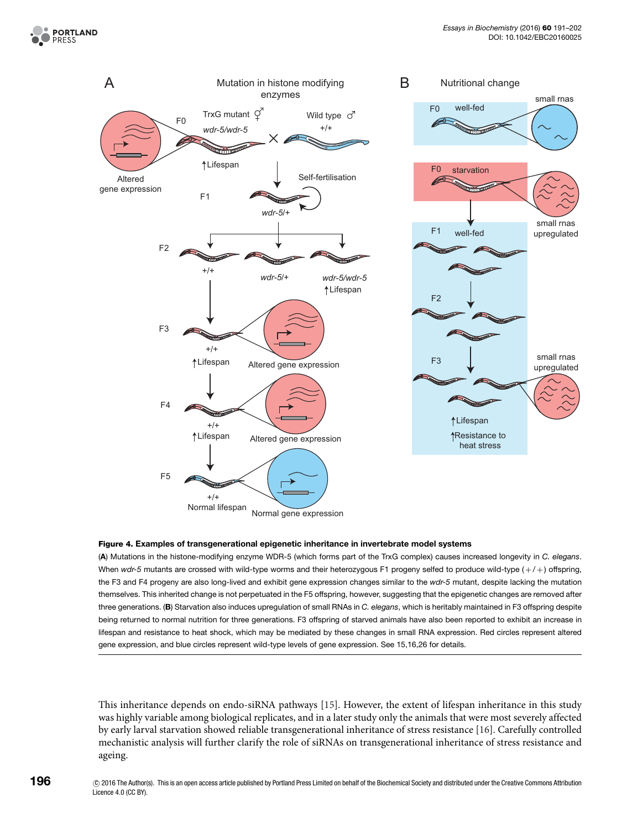<span id="page-5-0"></span>

#### **Figure 4. Examples of transgenerational epigenetic inheritance in invertebrate model systems**

(**A**) Mutations in the histone-modifying enzyme WDR-5 (which forms part of the TrxG complex) causes increased longevity in C. elegans. When wdr-5 mutants are crossed with wild-type worms and their heterozygous F1 progeny selfed to produce wild-type  $(+/+)$  offspring, the F3 and F4 progeny are also long-lived and exhibit gene expression changes similar to the wdr-5 mutant, despite lacking the mutation themselves. This inherited change is not perpetuated in the F5 offspring, however, suggesting that the epigenetic changes are removed after three generations. (B) Starvation also induces upregulation of small RNAs in C. elegans, which is heritably maintained in F3 offspring despite being returned to normal nutrition for three generations. F3 offspring of starved animals have also been reported to exhibit an increase in lifespan and resistance to heat shock, which may be mediated by these changes in small RNA expression. Red circles represent altered gene expression, and blue circles represent wild-type levels of gene expression. See 15,16,26 for details.

This inheritance depends on endo-siRNA pathways [\[15\]](#page-10-1). However, the extent of lifespan inheritance in this study was highly variable among biological replicates, and in a later study only the animals that were most severely affected by early larval starvation showed reliable transgenerational inheritance of stress resistance [\[16\]](#page-10-2). Carefully controlled mechanistic analysis will further clarify the role of siRNAs on transgenerational inheritance of stress resistance and ageing.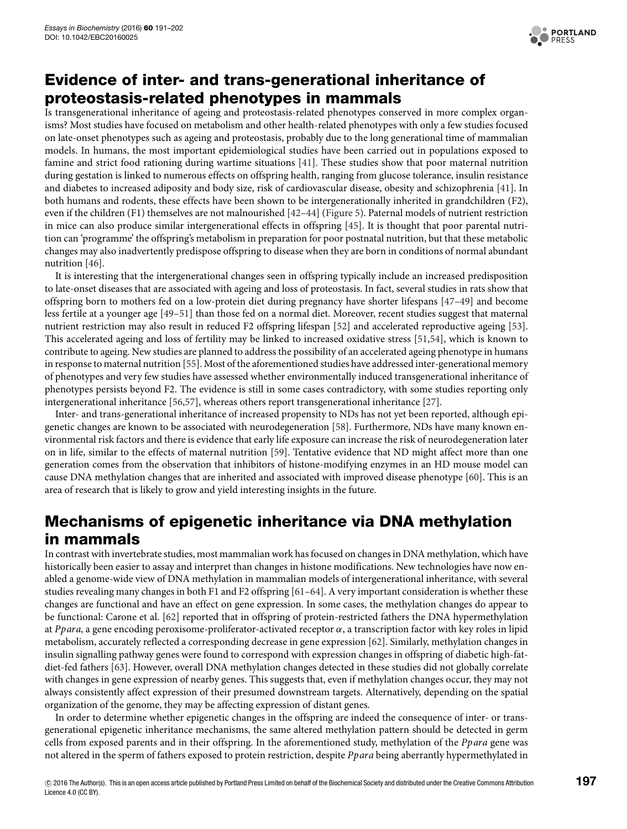

### **Evidence of inter- and trans-generational inheritance of proteostasis-related phenotypes in mammals**

Is transgenerational inheritance of ageing and proteostasis-related phenotypes conserved in more complex organisms? Most studies have focused on metabolism and other health-related phenotypes with only a few studies focused on late-onset phenotypes such as ageing and proteostasis, probably due to the long generational time of mammalian models. In humans, the most important epidemiological studies have been carried out in populations exposed to famine and strict food rationing during wartime situations [\[41\]](#page-10-26). These studies show that poor maternal nutrition during gestation is linked to numerous effects on offspring health, ranging from glucose tolerance, insulin resistance and diabetes to increased adiposity and body size, risk of cardiovascular disease, obesity and schizophrenia [\[41\]](#page-10-26). In both humans and rodents, these effects have been shown to be intergenerationally inherited in grandchildren (F2), even if the children (F1) themselves are not malnourished [\[42–](#page-10-27)[44\]](#page-10-28) [\(Figure 5\)](#page-7-0). Paternal models of nutrient restriction in mice can also produce similar intergenerational effects in offspring [\[45\]](#page-10-29). It is thought that poor parental nutrition can 'programme' the offspring's metabolism in preparation for poor postnatal nutrition, but that these metabolic changes may also inadvertently predispose offspring to disease when they are born in conditions of normal abundant nutrition [\[46\]](#page-10-30).

It is interesting that the intergenerational changes seen in offspring typically include an increased predisposition to late-onset diseases that are associated with ageing and loss of proteostasis. In fact, several studies in rats show that offspring born to mothers fed on a low-protein diet during pregnancy have shorter lifespans [\[47–](#page-11-0)[49\]](#page-11-1) and become less fertile at a younger age [\[49](#page-11-1)[–51\]](#page-11-2) than those fed on a normal diet. Moreover, recent studies suggest that maternal nutrient restriction may also result in reduced F2 offspring lifespan [\[52\]](#page-11-3) and accelerated reproductive ageing [\[53\]](#page-11-4). This accelerated ageing and loss of fertility may be linked to increased oxidative stress [\[51](#page-11-2)[,54\]](#page-11-5), which is known to contribute to ageing. New studies are planned to address the possibility of an accelerated ageing phenotype in humans in response to maternal nutrition [\[55\]](#page-11-6). Most of the aforementioned studies have addressed inter-generational memory of phenotypes and very few studies have assessed whether environmentally induced transgenerational inheritance of phenotypes persists beyond F2. The evidence is still in some cases contradictory, with some studies reporting only intergenerational inheritance [\[56](#page-11-7)[,57\]](#page-11-8), whereas others report transgenerational inheritance [\[27\]](#page-10-12).

Inter- and trans-generational inheritance of increased propensity to NDs has not yet been reported, although epigenetic changes are known to be associated with neurodegeneration [\[58\]](#page-11-9). Furthermore, NDs have many known environmental risk factors and there is evidence that early life exposure can increase the risk of neurodegeneration later on in life, similar to the effects of maternal nutrition [\[59\]](#page-11-10). Tentative evidence that ND might affect more than one generation comes from the observation that inhibitors of histone-modifying enzymes in an HD mouse model can cause DNA methylation changes that are inherited and associated with improved disease phenotype [\[60\]](#page-11-11). This is an area of research that is likely to grow and yield interesting insights in the future.

### **Mechanisms of epigenetic inheritance via DNA methylation in mammals**

In contrast with invertebrate studies, most mammalian work has focused on changes in DNA methylation, which have historically been easier to assay and interpret than changes in histone modifications. New technologies have now enabled a genome-wide view of DNA methylation in mammalian models of intergenerational inheritance, with several studies revealing many changes in both F1 and F2 offspring [\[61–](#page-11-12)[64\]](#page-11-13). A very important consideration is whether these changes are functional and have an effect on gene expression. In some cases, the methylation changes do appear to be functional: Carone et al. [\[62\]](#page-11-14) reported that in offspring of protein-restricted fathers the DNA hypermethylation at *Ppara*, a gene encoding peroxisome-proliferator-activated receptor α, a transcription factor with key roles in lipid metabolism, accurately reflected a corresponding decrease in gene expression [\[62\]](#page-11-14). Similarly, methylation changes in insulin signalling pathway genes were found to correspond with expression changes in offspring of diabetic high-fatdiet-fed fathers [\[63\]](#page-11-15). However, overall DNA methylation changes detected in these studies did not globally correlate with changes in gene expression of nearby genes. This suggests that, even if methylation changes occur, they may not always consistently affect expression of their presumed downstream targets. Alternatively, depending on the spatial organization of the genome, they may be affecting expression of distant genes.

In order to determine whether epigenetic changes in the offspring are indeed the consequence of inter- or transgenerational epigenetic inheritance mechanisms, the same altered methylation pattern should be detected in germ cells from exposed parents and in their offspring. In the aforementioned study, methylation of the *Ppara* gene was not altered in the sperm of fathers exposed to protein restriction, despite *Ppara* being aberrantly hypermethylated in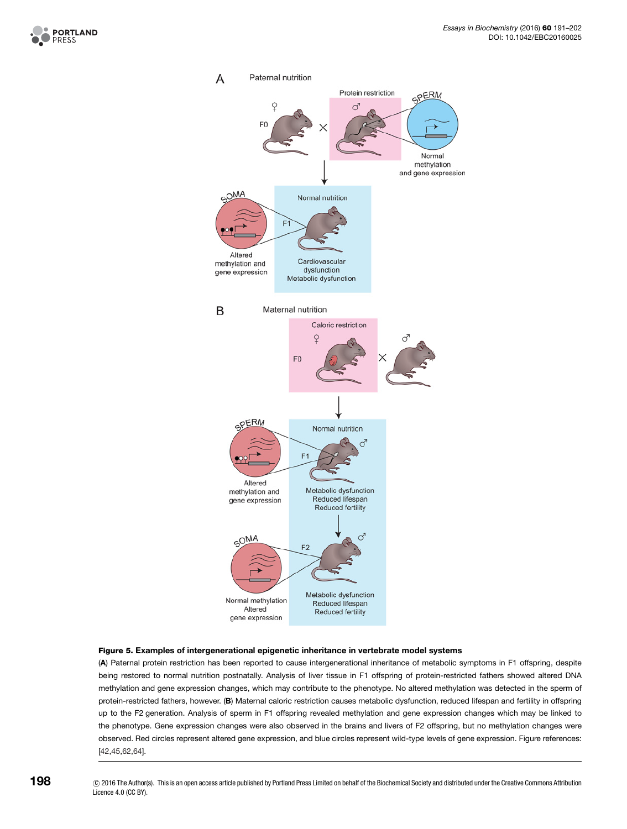<span id="page-7-0"></span>



#### **Figure 5. Examples of intergenerational epigenetic inheritance in vertebrate model systems**

(**A**) Paternal protein restriction has been reported to cause intergenerational inheritance of metabolic symptoms in F1 offspring, despite being restored to normal nutrition postnatally. Analysis of liver tissue in F1 offspring of protein-restricted fathers showed altered DNA methylation and gene expression changes, which may contribute to the phenotype. No altered methylation was detected in the sperm of protein-restricted fathers, however. (**B**) Maternal caloric restriction causes metabolic dysfunction, reduced lifespan and fertility in offspring up to the F2 generation. Analysis of sperm in F1 offspring revealed methylation and gene expression changes which may be linked to the phenotype. Gene expression changes were also observed in the brains and livers of F2 offspring, but no methylation changes were observed. Red circles represent altered gene expression, and blue circles represent wild-type levels of gene expression. Figure references: [\[42,](#page-10-27)[45](#page-10-29)[,62,](#page-11-14)[64\]](#page-11-13).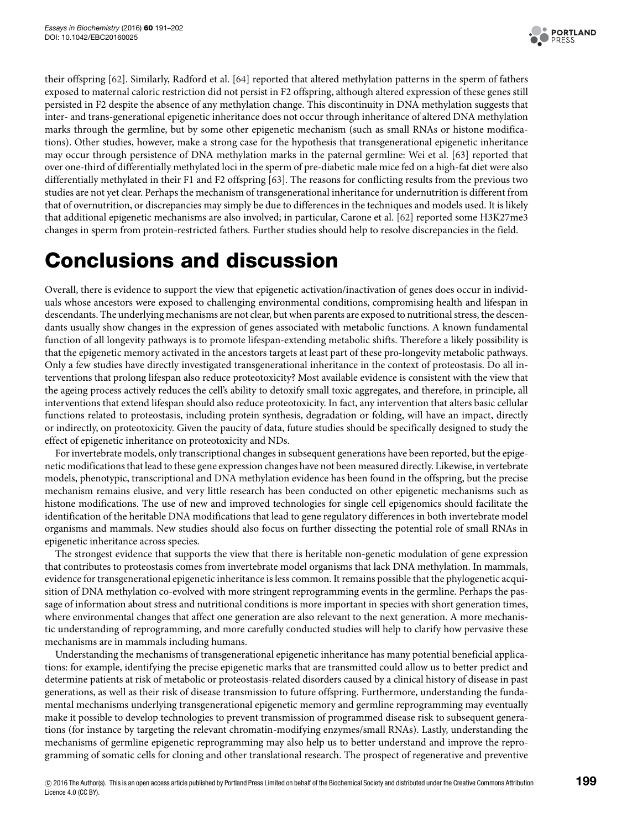

their offspring [\[62\]](#page-11-14). Similarly, Radford et al. [\[64\]](#page-11-13) reported that altered methylation patterns in the sperm of fathers exposed to maternal caloric restriction did not persist in F2 offspring, although altered expression of these genes still persisted in F2 despite the absence of any methylation change. This discontinuity in DNA methylation suggests that inter- and trans-generational epigenetic inheritance does not occur through inheritance of altered DNA methylation marks through the germline, but by some other epigenetic mechanism (such as small RNAs or histone modifications). Other studies, however, make a strong case for the hypothesis that transgenerational epigenetic inheritance may occur through persistence of DNA methylation marks in the paternal germline: Wei et al. [\[63\]](#page-11-15) reported that over one-third of differentially methylated loci in the sperm of pre-diabetic male mice fed on a high-fat diet were also differentially methylated in their F1 and F2 offspring [\[63\]](#page-11-15). The reasons for conflicting results from the previous two studies are not yet clear. Perhaps the mechanism of transgenerational inheritance for undernutrition is different from that of overnutrition, or discrepancies may simply be due to differences in the techniques and models used. It is likely that additional epigenetic mechanisms are also involved; in particular, Carone et al. [\[62\]](#page-11-14) reported some H3K27me3 changes in sperm from protein-restricted fathers. Further studies should help to resolve discrepancies in the field.

# **Conclusions and discussion**

Overall, there is evidence to support the view that epigenetic activation/inactivation of genes does occur in individuals whose ancestors were exposed to challenging environmental conditions, compromising health and lifespan in descendants. The underlying mechanisms are not clear, but when parents are exposed to nutritional stress, the descendants usually show changes in the expression of genes associated with metabolic functions. A known fundamental function of all longevity pathways is to promote lifespan-extending metabolic shifts. Therefore a likely possibility is that the epigenetic memory activated in the ancestors targets at least part of these pro-longevity metabolic pathways. Only a few studies have directly investigated transgenerational inheritance in the context of proteostasis. Do all interventions that prolong lifespan also reduce proteotoxicity? Most available evidence is consistent with the view that the ageing process actively reduces the cell's ability to detoxify small toxic aggregates, and therefore, in principle, all interventions that extend lifespan should also reduce proteotoxicity. In fact, any intervention that alters basic cellular functions related to proteostasis, including protein synthesis, degradation or folding, will have an impact, directly or indirectly, on proteotoxicity. Given the paucity of data, future studies should be specifically designed to study the effect of epigenetic inheritance on proteotoxicity and NDs.

For invertebrate models, only transcriptional changes in subsequent generations have been reported, but the epigenetic modifications that lead to these gene expression changes have not been measured directly. Likewise, in vertebrate models, phenotypic, transcriptional and DNA methylation evidence has been found in the offspring, but the precise mechanism remains elusive, and very little research has been conducted on other epigenetic mechanisms such as histone modifications. The use of new and improved technologies for single cell epigenomics should facilitate the identification of the heritable DNA modifications that lead to gene regulatory differences in both invertebrate model organisms and mammals. New studies should also focus on further dissecting the potential role of small RNAs in epigenetic inheritance across species.

The strongest evidence that supports the view that there is heritable non-genetic modulation of gene expression that contributes to proteostasis comes from invertebrate model organisms that lack DNA methylation. In mammals, evidence for transgenerational epigenetic inheritance is less common. It remains possible that the phylogenetic acquisition of DNA methylation co-evolved with more stringent reprogramming events in the germline. Perhaps the passage of information about stress and nutritional conditions is more important in species with short generation times, where environmental changes that affect one generation are also relevant to the next generation. A more mechanistic understanding of reprogramming, and more carefully conducted studies will help to clarify how pervasive these mechanisms are in mammals including humans.

Understanding the mechanisms of transgenerational epigenetic inheritance has many potential beneficial applications: for example, identifying the precise epigenetic marks that are transmitted could allow us to better predict and determine patients at risk of metabolic or proteostasis-related disorders caused by a clinical history of disease in past generations, as well as their risk of disease transmission to future offspring. Furthermore, understanding the fundamental mechanisms underlying transgenerational epigenetic memory and germline reprogramming may eventually make it possible to develop technologies to prevent transmission of programmed disease risk to subsequent generations (for instance by targeting the relevant chromatin-modifying enzymes/small RNAs). Lastly, understanding the mechanisms of germline epigenetic reprogramming may also help us to better understand and improve the reprogramming of somatic cells for cloning and other translational research. The prospect of regenerative and preventive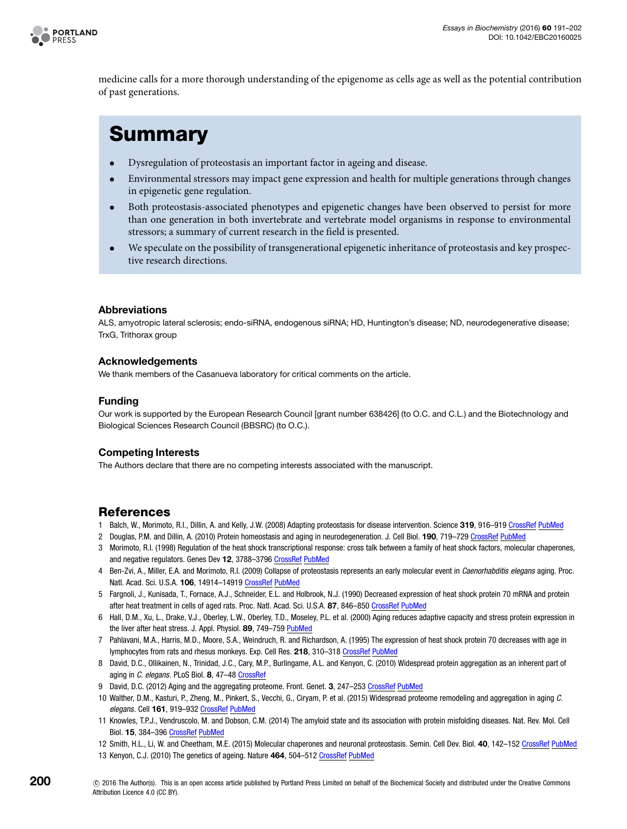

medicine calls for a more thorough understanding of the epigenome as cells age as well as the potential contribution of past generations.

## **Summary**

- Dysregulation of proteostasis an important factor in ageing and disease.
- Environmental stressors may impact gene expression and health for multiple generations through changes in epigenetic gene regulation.
- Both proteostasis-associated phenotypes and epigenetic changes have been observed to persist for more than one generation in both invertebrate and vertebrate model organisms in response to environmental stressors; a summary of current research in the field is presented.
- We speculate on the possibility of transgenerational epigenetic inheritance of proteostasis and key prospective research directions.

### **Abbreviations**

ALS, amyotropic lateral sclerosis; endo-siRNA, endogenous siRNA; HD, Huntington's disease; ND, neurodegenerative disease; TrxG, Trithorax group

#### **Acknowledgements**

We thank members of the Casanueva laboratory for critical comments on the article.

#### **Funding**

Our work is supported by the European Research Council [grant number 638426] (to O.C. and C.L.) and the Biotechnology and Biological Sciences Research Council (BBSRC) (to O.C.).

### **Competing Interests**

The Authors declare that there are no competing interests associated with the manuscript.

### **References**

- <span id="page-9-0"></span>1 Balch, W., Morimoto, R.I., Dillin, A. and Kelly, J.W. (2008) Adapting proteostasis for disease intervention. Science **319**, 916–919 [CrossRef](http://dx.doi.org/10.1126/science.1141448) [PubMed](http://www.ncbi.nlm.nih.gov/pubmed/18276881)
- <span id="page-9-1"></span>2 Douglas, P.M. and Dillin, A. (2010) Protein homeostasis and aging in neurodegeneration. J. Cell Biol. **190**, 719–729 [CrossRef](http://dx.doi.org/10.1083/jcb.201005144) [PubMed](http://www.ncbi.nlm.nih.gov/pubmed/20819932)
- <span id="page-9-2"></span>3 Morimoto, R.I. (1998) Regulation of the heat shock transcriptional response: cross talk between a family of heat shock factors, molecular chaperones, and negative regulators. Genes Dev **12**, 3788–3796 [CrossRef](http://dx.doi.org/10.1101/gad.12.24.3788) [PubMed](http://www.ncbi.nlm.nih.gov/pubmed/9869631)
- <span id="page-9-3"></span>4 Ben-Zvi, A., Miller, E.A. and Morimoto, R.I. (2009) Collapse of proteostasis represents an early molecular event in Caenorhabditis elegans aging. Proc. Natl. Acad. Sci. U.S.A. **106**, 14914–14919 [CrossRef](http://dx.doi.org/10.1073/pnas.0902882106) [PubMed](http://www.ncbi.nlm.nih.gov/pubmed/19706382)
- <span id="page-9-4"></span>5 Fargnoli, J., Kunisada, T., Fornace, A.J., Schneider, E.L. and Holbrook, N.J. (1990) Decreased expression of heat shock protein 70 mRNA and protein after heat treatment in cells of aged rats. Proc. Natl. Acad. Sci. U.S.A. **87**, 846–850 [CrossRef](http://dx.doi.org/10.1073/pnas.87.2.846) [PubMed](http://www.ncbi.nlm.nih.gov/pubmed/2300568)
- 6 Hall, D.M., Xu, L., Drake, V.J., Oberley, L.W., Oberley, T.D., Moseley, P.L. et al. (2000) Aging reduces adaptive capacity and stress protein expression in the liver after heat stress. J. Appl. Physiol. **89**, 749–759 [PubMed](http://www.ncbi.nlm.nih.gov/pubmed/10926662)
- <span id="page-9-5"></span>7 Pahlavani, M.A., Harris, M.D., Moore, S.A., Weindruch, R. and Richardson, A. (1995) The expression of heat shock protein 70 decreases with age in lymphocytes from rats and rhesus monkeys. Exp. Cell Res. **218**, 310–318 [CrossRef](http://dx.doi.org/10.1006/excr.1995.1160) [PubMed](http://www.ncbi.nlm.nih.gov/pubmed/7737368)
- <span id="page-9-6"></span>8 David, D.C., Ollikainen, N., Trinidad, J.C., Cary, M.P., Burlingame, A.L. and Kenyon, C. (2010) Widespread protein aggregation as an inherent part of aging in C. elegans. PLoS Biol. **8**, 47–48 [CrossRef](http://dx.doi.org/10.1371/journal.pbio.1000450)
- 9 David, D.C. (2012) Aging and the aggregating proteome. Front. Genet. 3, 247-253 [CrossRef](http://dx.doi.org/10.3389/fgene.2012.00247) [PubMed](http://www.ncbi.nlm.nih.gov/pubmed/23181070)
- <span id="page-9-7"></span>10 Walther, D.M., Kasturi, P., Zheng, M., Pinkert, S., Vecchi, G., Ciryam, P. et al. (2015) Widespread proteome remodeling and aggregation in aging C. elegans. Cell **161**, 919–932 [CrossRef](http://dx.doi.org/10.1016/j.cell.2015.03.032) [PubMed](http://www.ncbi.nlm.nih.gov/pubmed/25957690)
- <span id="page-9-8"></span>11 Knowles, T.P.J., Vendruscolo, M. and Dobson, C.M. (2014) The amyloid state and its association with protein misfolding diseases. Nat. Rev. Mol. Cell Biol. **15**, 384–396 [CrossRef](http://dx.doi.org/10.1038/nrm3810) [PubMed](http://www.ncbi.nlm.nih.gov/pubmed/24854788)
- <span id="page-9-9"></span>12 Smith, H.L., Li, W. and Cheetham, M.E. (2015) Molecular chaperones and neuronal proteostasis. Semin. Cell Dev. Biol. **40**, 142–152 [CrossRef](http://dx.doi.org/10.1016/j.semcdb.2015.03.003) [PubMed](http://www.ncbi.nlm.nih.gov/pubmed/25770416)
- <span id="page-9-10"></span>13 Kenyon, C.J. (2010) The genetics of ageing. Nature **464**, 504–512 [CrossRef](http://dx.doi.org/10.1038/nature08980) [PubMed](http://www.ncbi.nlm.nih.gov/pubmed/20336132)
- $©$  2016 The Author(s). This is an open access article published by Portland Press Limited on behalf of the Biochemical Society and distributed under the [Creative Commons](http://creativecommons.org/licenses/by/4.0/) [Attribution Licence 4.0 \(CC BY\).](http://creativecommons.org/licenses/by/4.0/)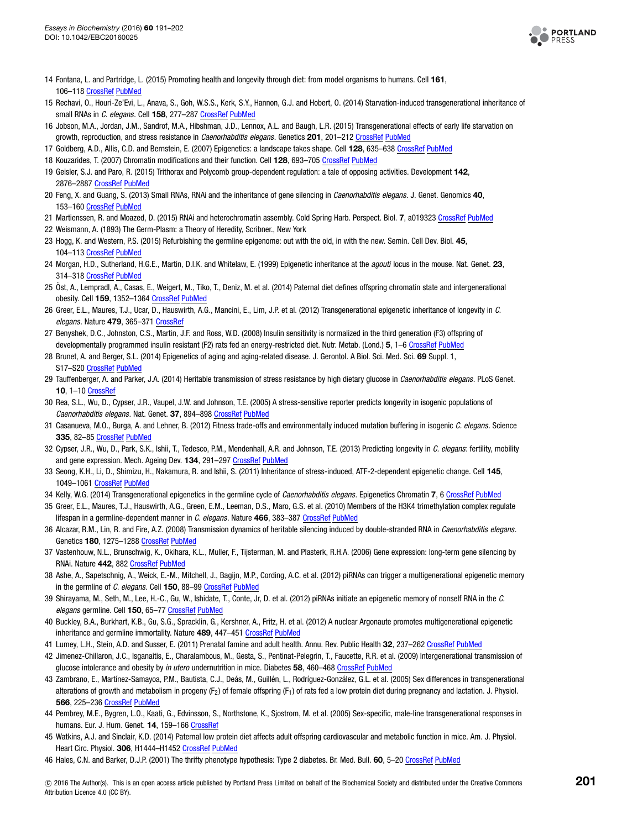

- <span id="page-10-0"></span>14 Fontana, L. and Partridge, L. (2015) Promoting health and longevity through diet: from model organisms to humans. Cell **161**, 106–118 [CrossRef](http://dx.doi.org/10.1016/j.cell.2015.02.020) [PubMed](http://www.ncbi.nlm.nih.gov/pubmed/25815989)
- <span id="page-10-1"></span>15 Rechavi, O., Houri-Ze'Evi, L., Anava, S., Goh, W.S.S., Kerk, S.Y., Hannon, G.J. and Hobert, O. (2014) Starvation-induced transgenerational inheritance of small RNAs in C. elegans. Cell **158**, 277–287 [CrossRef](http://dx.doi.org/10.1016/j.cell.2014.06.020) [PubMed](http://www.ncbi.nlm.nih.gov/pubmed/25018105)
- <span id="page-10-2"></span>16 Jobson, M.A., Jordan, J.M., Sandrof, M.A., Hibshman, J.D., Lennox, A.L. and Baugh, L.R. (2015) Transgenerational effects of early life starvation on growth, reproduction, and stress resistance in Caenorhabditis elegans. Genetics **201**, 201–212 [CrossRef](http://dx.doi.org/10.1534/genetics.115.178699) [PubMed](http://www.ncbi.nlm.nih.gov/pubmed/26187123)
- <span id="page-10-3"></span>17 Goldberg, A.D., Allis, C.D. and Bernstein, E. (2007) Epigenetics: a landscape takes shape. Cell **128**, 635–638 [CrossRef](http://dx.doi.org/10.1016/j.cell.2007.02.006) [PubMed](http://www.ncbi.nlm.nih.gov/pubmed/17320500)
- <span id="page-10-4"></span>18 Kouzarides, T. (2007) Chromatin modifications and their function. Cell **128**, 693–705 [CrossRef](http://dx.doi.org/10.1016/j.cell.2007.02.005) [PubMed](http://www.ncbi.nlm.nih.gov/pubmed/17320507)
- <span id="page-10-5"></span>19 Geisler, S.J. and Paro, R. (2015) Trithorax and Polycomb group-dependent regulation: a tale of opposing activities. Development **142**, 2876–2887 [CrossRef](http://dx.doi.org/10.1242/dev.120030) [PubMed](http://www.ncbi.nlm.nih.gov/pubmed/26329598)
- <span id="page-10-6"></span>20 Feng, X. and Guang, S. (2013) Small RNAs, RNAi and the inheritance of gene silencing in Caenorhabditis elegans. J. Genet. Genomics **40**, 153-160 [CrossRef](http://dx.doi.org/10.1016/j.jgg.2012.12.007) [PubMed](http://www.ncbi.nlm.nih.gov/pubmed/23618398)
- <span id="page-10-7"></span>21 Martienssen, R. and Moazed, D. (2015) RNAi and heterochromatin assembly. Cold Spring Harb. Perspect. Biol. **7**, a019323 [CrossRef](http://dx.doi.org/10.1101/cshperspect.a019323) [PubMed](http://www.ncbi.nlm.nih.gov/pubmed/26238358)
- <span id="page-10-8"></span>22 Weismann, A. (1893) The Germ-Plasm: a Theory of Heredity, Scribner., New York
- <span id="page-10-9"></span>23 Hogg, K. and Western, P.S. (2015) Refurbishing the germline epigenome: out with the old, in with the new. Semin. Cell Dev. Biol. **45**,
- 104–113 [CrossRef](http://dx.doi.org/10.1016/j.semcdb.2015.09.012) [PubMed](http://www.ncbi.nlm.nih.gov/pubmed/26597001)
- <span id="page-10-10"></span>24 Morgan, H.D., Sutherland, H.G.E., Martin, D.I.K. and Whitelaw, E. (1999) Epigenetic inheritance at the agouti locus in the mouse. Nat. Genet. **23**, 314–318 [CrossRef](http://dx.doi.org/10.1038/15490) [PubMed](http://www.ncbi.nlm.nih.gov/pubmed/10545949)
- <span id="page-10-14"></span>25 Ost, A., Lempradl, A., Casas, E., Weigert, M., Tiko, T., Deniz, M. et al. (2014) Paternal diet defines offspring chromatin state and intergenerational ¨ obesity. Cell **159**, 1352–1364 [CrossRef](http://dx.doi.org/10.1016/j.cell.2014.11.005) [PubMed](http://www.ncbi.nlm.nih.gov/pubmed/25480298)
- <span id="page-10-11"></span>26 Greer, E.L., Maures, T.J., Ucar, D., Hauswirth, A.G., Mancini, E., Lim, J.P. et al. (2012) Transgenerational epigenetic inheritance of longevity in C. elegans. Nature 479, 365-371 [CrossRef](http://dx.doi.org/10.1038/nature10572)
- <span id="page-10-12"></span>27 Benyshek, D.C., Johnston, C.S., Martin, J.F. and Ross, W.D. (2008) Insulin sensitivity is normalized in the third generation (F3) offspring of developmentally programmed insulin resistant (F2) rats fed an energy-restricted diet. Nutr. Metab. (Lond.) **5**, 1–6 [CrossRef](http://dx.doi.org/10.1186/1743-7075-5-26) [PubMed](http://www.ncbi.nlm.nih.gov/pubmed/18173841)
- <span id="page-10-13"></span>28 Brunet, A. and Berger, S.L. (2014) Epigenetics of aging and aging-related disease. J. Gerontol. A Biol. Sci. Med. Sci. **69** Suppl. 1, S17–S20 [CrossRef](http://dx.doi.org/10.1093/gerona/glu042) [PubMed](http://www.ncbi.nlm.nih.gov/pubmed/24833581)
- <span id="page-10-15"></span>29 Tauffenberger, A. and Parker, J.A. (2014) Heritable transmission of stress resistance by high dietary glucose in Caenorhabditis elegans. PLoS Genet. **10**, 1–10 [CrossRef](http://dx.doi.org/10.1371/journal.pgen.1004346)
- <span id="page-10-16"></span>30 Rea, S.L., Wu, D., Cypser, J.R., Vaupel, J.W. and Johnson, T.E. (2005) A stress-sensitive reporter predicts longevity in isogenic populations of Caenorhabditis elegans. Nat. Genet. **37**, 894–898 [CrossRef](http://dx.doi.org/10.1038/ng1608) [PubMed](http://www.ncbi.nlm.nih.gov/pubmed/16041374)
- <span id="page-10-17"></span>31 Casanueva, M.O., Burga, A. and Lehner, B. (2012) Fitness trade-offs and environmentally induced mutation buffering in isogenic C. elegans. Science **335**, 82–85 [CrossRef](http://dx.doi.org/10.1126/science.1213491) [PubMed](http://www.ncbi.nlm.nih.gov/pubmed/22174126)
- <span id="page-10-18"></span>32 Cypser, J.R., Wu, D., Park, S.K., Ishii, T., Tedesco, P.M., Mendenhall, A.R. and Johnson, T.E. (2013) Predicting longevity in C. elegans: fertility, mobility and gene expression. Mech. Ageing Dev. **134**, 291–297 [CrossRef](http://dx.doi.org/10.1016/j.mad.2013.02.003) [PubMed](http://www.ncbi.nlm.nih.gov/pubmed/23416266)
- <span id="page-10-19"></span>33 Seong, K.H., Li, D., Shimizu, H., Nakamura, R. and Ishii, S. (2011) Inheritance of stress-induced, ATF-2-dependent epigenetic change. Cell **145**, 1049–1061 [CrossRef](http://dx.doi.org/10.1016/j.cell.2011.05.029) [PubMed](http://www.ncbi.nlm.nih.gov/pubmed/21703449)
- <span id="page-10-20"></span>34 Kelly, W.G. (2014) Transgenerational epigenetics in the germline cycle of Caenorhabditis elegans. Epigenetics Chromatin **7**, 6 [CrossRef](http://dx.doi.org/10.1186/1756-8935-7-6) [PubMed](http://www.ncbi.nlm.nih.gov/pubmed/24678826)
- <span id="page-10-21"></span>35 Greer, E.L., Maures, T.J., Hauswirth, A.G., Green, E.M., Leeman, D.S., Maro, G.S. et al. (2010) Members of the H3K4 trimethylation complex regulate lifespan in a germline-dependent manner in C. elegans. Nature **466**, 383–387 [CrossRef](http://dx.doi.org/10.1038/nature09195) [PubMed](http://www.ncbi.nlm.nih.gov/pubmed/20555324)
- <span id="page-10-22"></span>36 Alcazar, R.M., Lin, R. and Fire, A.Z. (2008) Transmission dynamics of heritable silencing induced by double-stranded RNA in Caenorhabditis elegans. Genetics **180**, 1275–1288 [CrossRef](http://dx.doi.org/10.1534/genetics.108.089433) [PubMed](http://www.ncbi.nlm.nih.gov/pubmed/18757930)
- <span id="page-10-23"></span>37 Vastenhouw, N.L., Brunschwig, K., Okihara, K.L., Muller, F., Tijsterman, M. and Plasterk, R.H.A. (2006) Gene expression: long-term gene silencing by RNAi. Nature **442**, 882 [CrossRef](http://dx.doi.org/10.1038/442882a) [PubMed](http://www.ncbi.nlm.nih.gov/pubmed/16929289)
- <span id="page-10-24"></span>38 Ashe, A., Sapetschnig, A., Weick, E.-M., Mitchell, J., Bagijn, M.P., Cording, A.C. et al. (2012) piRNAs can trigger a multigenerational epigenetic memory in the germline of C. elegans. Cell **150**, 88–99 [CrossRef](http://dx.doi.org/10.1016/j.cell.2012.06.018) [PubMed](http://www.ncbi.nlm.nih.gov/pubmed/22738725)
- 39 Shirayama, M., Seth, M., Lee, H.-C., Gu, W., Ishidate, T., Conte, Jr, D. et al. (2012) piRNAs initiate an epigenetic memory of nonself RNA in the C. elegans germline. Cell **150**, 65–77 [CrossRef](http://dx.doi.org/10.1016/j.cell.2012.06.015) [PubMed](http://www.ncbi.nlm.nih.gov/pubmed/22738726)
- <span id="page-10-25"></span>40 Buckley, B.A., Burkhart, K.B., Gu, S.G., Spracklin, G., Kershner, A., Fritz, H. et al. (2012) A nuclear Argonaute promotes multigenerational epigenetic inheritance and germline immortality. Nature **489**, 447–451 [CrossRef](http://dx.doi.org/10.1038/nature11352) [PubMed](http://www.ncbi.nlm.nih.gov/pubmed/22810588)
- <span id="page-10-26"></span>41 Lumey, L.H., Stein, A.D. and Susser, E. (2011) Prenatal famine and adult health. Annu. Rev. Public Health **32**, 237–262 [CrossRef](http://dx.doi.org/10.1146/annurev-publhealth-031210-101230) [PubMed](http://www.ncbi.nlm.nih.gov/pubmed/21219171)
- <span id="page-10-27"></span>42 Jimenez-Chillaron, J.C., Isganaitis, E., Charalambous, M., Gesta, S., Pentinat-Pelegrin, T., Faucette, R.R. et al. (2009) Intergenerational transmission of glucose intolerance and obesity by in utero undernutrition in mice. Diabetes **58**, 460–468 [CrossRef](http://dx.doi.org/10.2337/db08-0490) [PubMed](http://www.ncbi.nlm.nih.gov/pubmed/19017762)
- 43 Zambrano, E., Martínez-Samayoa, P.M., Bautista, C.J., Deás, M., Guillén, L., Rodríguez-González, G.L. et al. (2005) Sex differences in transgenerational alterations of growth and metabolism in progeny (F<sub>2</sub>) of female offspring (F<sub>1</sub>) of rats fed a low protein diet during pregnancy and lactation. J. Physiol. **566**, 225–236 [CrossRef](http://dx.doi.org/10.1113/jphysiol.2005.086462) [PubMed](http://www.ncbi.nlm.nih.gov/pubmed/15860532)
- <span id="page-10-28"></span>44 Pembrey, M.E., Bygren, L.O., Kaati, G., Edvinsson, S., Northstone, K., Sjostrom, M. et al. (2005) Sex-specific, male-line transgenerational responses in humans. Eur. J. Hum. Genet. **14**, 159–166 [CrossRef](http://dx.doi.org/10.1038/sj.ejhg.5201538)
- <span id="page-10-29"></span>45 Watkins, A.J. and Sinclair, K.D. (2014) Paternal low protein diet affects adult offspring cardiovascular and metabolic function in mice. Am. J. Physiol. Heart Circ. Physiol. **306**, H1444–H1452 [CrossRef](http://dx.doi.org/10.1152/ajpheart.00981.2013) [PubMed](http://www.ncbi.nlm.nih.gov/pubmed/24658019)
- <span id="page-10-30"></span>46 Hales, C.N. and Barker, D.J.P. (2001) The thrifty phenotype hypothesis: Type 2 diabetes. Br. Med. Bull. **60**, 5–20 [CrossRef](http://dx.doi.org/10.1093/bmb/60.1.5) [PubMed](http://www.ncbi.nlm.nih.gov/pubmed/11809615)